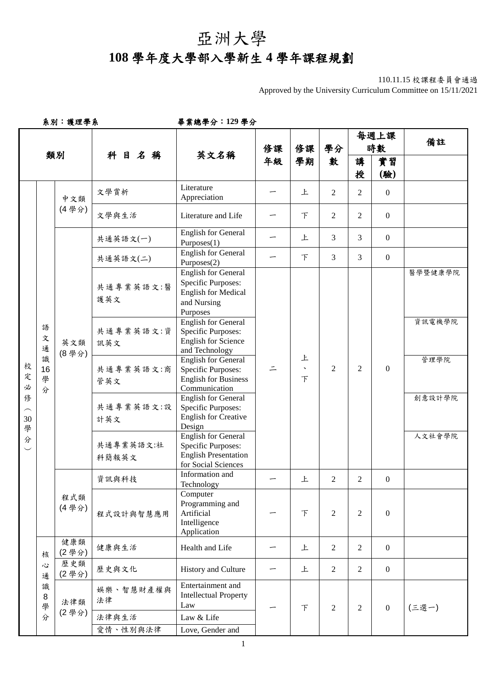## 亞洲大學 **108** 學年度大學部入學新生 **4** 學年課程規劃

Approved by the University Curriculum Committee on 15/11/2021

系別:護理學系畢業總學分:**129** 學分

|                                 |                   |              |                    |                                                                                                               |          |                        |                |                | 每週上課             | 備註      |
|---------------------------------|-------------------|--------------|--------------------|---------------------------------------------------------------------------------------------------------------|----------|------------------------|----------------|----------------|------------------|---------|
|                                 |                   |              |                    |                                                                                                               | 修課<br>年級 | 修課<br>學期               | 學分             |                | 時數               |         |
|                                 |                   | 類別           | 科目名稱               | 英文名稱                                                                                                          |          |                        | 數              | 講              | 實習               |         |
|                                 |                   |              |                    |                                                                                                               |          |                        |                | 授              | (驗)              |         |
| 校<br>定<br>必<br>修<br>$30\,$<br>學 |                   | 中文類<br>(4學分) | 文學賞析               | Literature<br>Appreciation                                                                                    |          | 上                      | $\overline{2}$ | 2              | $\mathbf{0}$     |         |
|                                 |                   |              | 文學與生活              | Literature and Life                                                                                           |          | F                      | $\overline{2}$ | 2              | $\overline{0}$   |         |
|                                 |                   |              | 共通英語文(一)           | <b>English for General</b><br>Purposes(1)                                                                     |          | 上                      | $\mathfrak{Z}$ | 3              | $\overline{0}$   |         |
|                                 |                   |              | 共通英語文(二)           | <b>English for General</b><br>Purposes(2)                                                                     |          | F                      | $\mathfrak{Z}$ | 3              | $\mathbf{0}$     |         |
|                                 |                   |              | 共通專業英語文:醫<br>護英文   | <b>English for General</b><br>Specific Purposes:<br><b>English for Medical</b><br>and Nursing<br>Purposes     |          |                        |                |                | $\overline{0}$   | 醫學暨健康學院 |
|                                 | 語<br>文<br>通       | 英文類<br>(8學分) | 共通專業英語文:資<br>訊英文   | <b>English for General</b><br>Specific Purposes:<br><b>English for Science</b><br>and Technology              |          |                        |                | $\overline{2}$ |                  | 資訊電機學院  |
|                                 | 識<br>16<br>學<br>分 |              | 共通專業英語文:商<br>管英文   | <b>English for General</b><br><b>Specific Purposes:</b><br><b>English for Business</b><br>Communication       | 드        | 上<br>$\mathbf{v}$<br>下 | $\overline{2}$ |                |                  | 管理學院    |
|                                 |                   |              | 共通專業英語文:設<br>計英文   | <b>English for General</b><br>Specific Purposes:<br><b>English for Creative</b><br>Design                     |          |                        |                |                |                  | 創意設計學院  |
| 分                               |                   |              | 共通專業英語文:社<br>科簡報英文 | <b>English for General</b><br><b>Specific Purposes:</b><br><b>English Presentation</b><br>for Social Sciences |          |                        |                |                |                  | 人文社會學院  |
|                                 |                   |              | 資訊與科技              | Information and<br>Technology                                                                                 |          | 上                      | $\overline{2}$ | 2              | $\overline{0}$   |         |
|                                 |                   | 程式類<br>(4學分) | 程式設計與智慧應用          | Computer<br>Programming and<br>Artificial<br>Intelligence<br>Application                                      |          | F                      | $\overline{2}$ | $\overline{2}$ | $\mathbf{0}$     |         |
|                                 | 核                 | 健康類<br>(2學分) | 健康與生活              | Health and Life                                                                                               |          | 上                      | $\overline{2}$ | $\overline{2}$ | $\overline{0}$   |         |
|                                 | 心<br>通            | 歷史類<br>(2學分) | 歷史與文化              | History and Culture                                                                                           |          | 上                      | $\overline{2}$ | $\overline{2}$ | $\mathbf{0}$     |         |
|                                 | 識<br>8<br>學       | 法律類          | 娱樂、智慧財產權與<br>法律    | Entertainment and<br><b>Intellectual Property</b><br>Law                                                      |          | $\top$                 | $\overline{2}$ | 2              | $\boldsymbol{0}$ | (三選一)   |
|                                 | 分                 | (2學分)        | 法律與生活              | Law & Life                                                                                                    |          |                        |                |                |                  |         |
|                                 |                   |              | 愛情、性別與法律           | Love, Gender and                                                                                              |          |                        |                |                |                  |         |

<sup>110.11.15</sup> 校課程委員會通過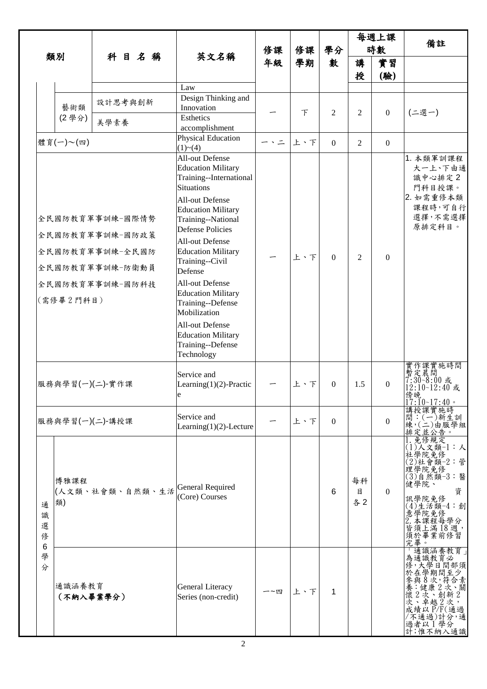| 類別                        |                     |                                                                                             | 英文名稱                                                                                                                                                                                                                                                                                                                                                                                                                                                              |          |               |                |                | 每週上課             | 備註                                                                                                                                                    |
|---------------------------|---------------------|---------------------------------------------------------------------------------------------|-------------------------------------------------------------------------------------------------------------------------------------------------------------------------------------------------------------------------------------------------------------------------------------------------------------------------------------------------------------------------------------------------------------------------------------------------------------------|----------|---------------|----------------|----------------|------------------|-------------------------------------------------------------------------------------------------------------------------------------------------------|
|                           |                     |                                                                                             |                                                                                                                                                                                                                                                                                                                                                                                                                                                                   | 修課<br>年級 | 修課            | 學分<br>數        |                | 時數               |                                                                                                                                                       |
|                           |                     | 科目名稱                                                                                        |                                                                                                                                                                                                                                                                                                                                                                                                                                                                   |          | 學期            |                | 講<br>授         | 實習<br>(驗)        |                                                                                                                                                       |
|                           |                     |                                                                                             | Law                                                                                                                                                                                                                                                                                                                                                                                                                                                               |          |               |                |                |                  |                                                                                                                                                       |
|                           | 藝術類<br>(2學分)        | 設計思考與創新<br>美學素養                                                                             | Design Thinking and<br>Innovation<br>Esthetics<br>accomplishment                                                                                                                                                                                                                                                                                                                                                                                                  |          | $\mathcal{F}$ | $\overline{2}$ | $\overline{2}$ | $\overline{0}$   | (二選一)                                                                                                                                                 |
|                           | 體育(一)~(四)           |                                                                                             | <b>Physical Education</b><br>(1)~(4)                                                                                                                                                                                                                                                                                                                                                                                                                              | ー、ニ      | 上、下           | $\mathbf{0}$   | 2              | $\overline{0}$   |                                                                                                                                                       |
|                           | (需修畢2門科目)           | 全民國防教育軍事訓練-國際情勢<br>全民國防教育軍事訓練-國防政策<br>全民國防教育軍事訓練-全民國防<br>全民國防教育軍事訓練-防衛動員<br>全民國防教育軍事訓練-國防科技 | All-out Defense<br><b>Education Military</b><br>Training--International<br><b>Situations</b><br>All-out Defense<br><b>Education Military</b><br>Training--National<br><b>Defense Policies</b><br><b>All-out Defense</b><br><b>Education Military</b><br>Training--Civil<br>Defense<br><b>All-out Defense</b><br><b>Education Military</b><br>Training--Defense<br>Mobilization<br>All-out Defense<br><b>Education Military</b><br>Training--Defense<br>Technology |          | 上、下           | $\theta$       | $\overline{2}$ | $\Omega$         | 1. 本類軍訓課程<br>大一上、下由通<br>識中心排定2<br>門科目授課。<br>2. 如需重修本類<br>課程時,可自行<br>選擇,不需選擇<br>原排定科目。                                                                 |
|                           |                     | 服務與學習(一)(二)-實作課                                                                             | Service and<br>Learning $(1)(2)$ -Practic<br>e                                                                                                                                                                                                                                                                                                                                                                                                                    |          | 上、下           | $\Omega$       | 1.5            | $\boldsymbol{0}$ | 實作課實施時間<br>暫定晨間<br>7:30~8:00 或<br>12:10~12:40 或<br>傍晚<br>$17:10-17:40$                                                                                |
|                           |                     | 服務與學習(一)(二)-講授課                                                                             | Service and<br>Learning $(1)(2)$ -Lecture                                                                                                                                                                                                                                                                                                                                                                                                                         |          | 上、下           | $\Omega$       |                | $\Omega$         | 講授課實施時<br>$\widetilde{C}(-)$ 新生訓<br>間<br>練,(二)由服學組<br>排定並公告。                                                                                          |
| 通<br>識<br>選<br>俢          | 博雅課程<br>類)          | (人文類、社會類、自然類、生活                                                                             | General Required<br>(Core) Courses                                                                                                                                                                                                                                                                                                                                                                                                                                |          |               | 6              | 每科<br>目<br>各2  | $\Omega$         | 免修規定<br>$(1)$ 人文類 $-1:$ 人<br>社學院免修<br>(2)社會類-2:管<br>理學院免修<br>(3)自然類-3:醫<br>健學院、<br>資<br>訊學院免修<br>(4)生活類-4:創<br>「意2」皆須究畢。<br>「學本須提滿」「第一次,我程每學,通常是每學的。」 |
| $6\phantom{1}6$<br>學<br>分 | 通識涵養教育<br>(不納入畢業學分) |                                                                                             | <b>General Literacy</b><br>Series (non-credit)                                                                                                                                                                                                                                                                                                                                                                                                                    | 一~四      | 上、下           | 1              |                |                  | 通識涵養教育<br>為通識教育必<br>修,大學日間部須<br>於在學期間至少<br>與8次,符合素<br>:健康2次<br>下關<br>"懷之、尊越之、<br>次中越2次通過<br>成績以下<br>成績<br>/不通過)計分,通<br>過者以1學分<br>計;惟不納入通識             |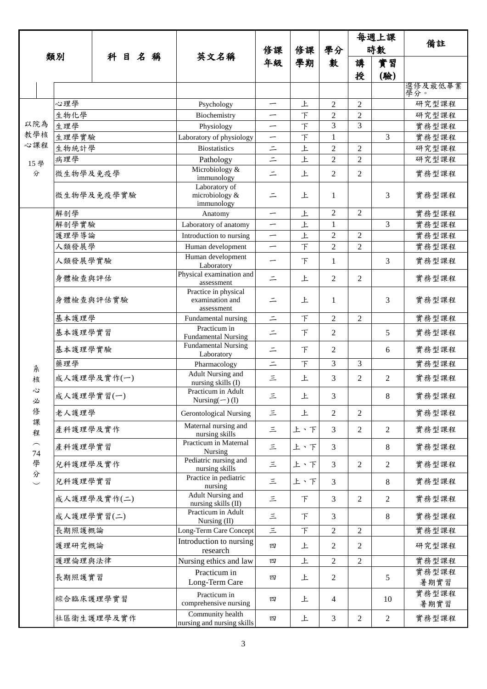|                          |             |  |  |      |                                                       |          |          |                |                | 每週上課           |                |  |
|--------------------------|-------------|--|--|------|-------------------------------------------------------|----------|----------|----------------|----------------|----------------|----------------|--|
|                          |             |  |  |      | 英文名稱                                                  | 修課<br>年級 | 修課<br>學期 | 學分<br>數        | 時數             |                | 備註             |  |
|                          | 類別          |  |  | 科目名稱 |                                                       |          |          |                | 講              | 實習             |                |  |
|                          |             |  |  |      |                                                       |          |          |                | 授              | (驗)            |                |  |
|                          |             |  |  |      |                                                       |          |          |                |                |                | 選修及最低畢業<br>學分。 |  |
|                          | 心理學         |  |  |      | Psychology                                            | —        | 上        | $\overline{2}$ | $\overline{2}$ |                | 研究型課程          |  |
|                          | 生物化學        |  |  |      | Biochemistry                                          | —        | $\top$   | $\overline{2}$ | $\overline{c}$ |                | 研究型課程          |  |
| 以院為                      | 生理學         |  |  |      | Physiology                                            | —        | $\top$   | 3              | 3              |                | 實務型課程          |  |
| 教學核<br>心課程               | 生理學實驗       |  |  |      | Laboratory of physiology                              | —        | $\top$   | 1              |                | 3              | 實務型課程          |  |
|                          | 生物統計學       |  |  |      | <b>Biostatistics</b>                                  | $\equiv$ | 上        | $\mathbf{2}$   | $\overline{2}$ |                | 研究型課程          |  |
| 15 學                     | 病理學         |  |  |      | Pathology<br>Microbiology &                           | $\equiv$ | 上        | $\overline{2}$ | $\overline{c}$ |                | 研究型課程          |  |
| 分                        | 微生物學及免疫學    |  |  |      | immunology<br>Laboratory of                           | $=$      | 上        | $\overline{2}$ | 2              |                | 實務型課程          |  |
|                          | 微生物學及免疫學實驗  |  |  |      | microbiology &<br>immunology                          | $\equiv$ | 上        | 1              |                | 3              | 實務型課程          |  |
|                          | 解剖學         |  |  |      | Anatomy                                               | —        | 上        | $\overline{2}$ | 2              |                | 實務型課程          |  |
|                          | 解剖學實驗       |  |  |      | Laboratory of anatomy                                 | —        | 上        | $\mathbf 1$    |                | 3              | 實務型課程          |  |
|                          | 護理學導論       |  |  |      | Introduction to nursing                               |          | 上        | $\overline{2}$ | 2              |                | 實務型課程          |  |
|                          | 人類發展學       |  |  |      | Human development<br>Human development                | —        | $\top$   | $\overline{2}$ | 2              |                | 實務型課程          |  |
|                          | 人類發展學實驗     |  |  |      | Laboratory                                            | —        | $\top$   | $\mathbf{1}$   |                | 3              | 實務型課程          |  |
|                          | 身體檢查與評估     |  |  |      | Physical examination and<br>assessment                | $=$      | 上        | $\overline{2}$ | 2              |                | 實務型課程          |  |
|                          | 身體檢查與評估實驗   |  |  |      | Practice in physical<br>examination and<br>assessment | $\equiv$ | 上        | 1              |                | 3              | 實務型課程          |  |
|                          | 基本護理學       |  |  |      | Fundamental nursing                                   | $\equiv$ | $\top$   | $\overline{2}$ | $\overline{2}$ |                | 實務型課程          |  |
|                          | 基本護理學實習     |  |  |      | Practicum in<br><b>Fundamental Nursing</b>            | $\equiv$ | $\top$   | $\overline{2}$ |                | 5              | 實務型課程          |  |
|                          | 基本護理學實驗     |  |  |      | <b>Fundamental Nursing</b><br>Laboratory              | $\equiv$ | $\top$   | $\mathbf{2}$   |                | 6              | 實務型課程          |  |
| 糸                        | 藥理學         |  |  |      | Pharmacology                                          | $\equiv$ | $\top$   | 3              | 3              |                | 實務型課程          |  |
| 核                        | 成人護理學及實作(一) |  |  |      | Adult Nursing and<br>nursing skills (I)               | 三        | 上        | 3              | 2              | $\overline{2}$ | 實務型課程          |  |
| 心<br>必                   | 成人護理學實習(一)  |  |  |      | Practicum in Adult<br>Nursing $(-)$ (I)               | 三        | 上        | 3              |                | 8              | 實務型課程          |  |
| 俢<br>課                   | 老人護理學       |  |  |      | <b>Gerontological Nursing</b>                         | 三        | 上        | $\overline{2}$ | 2              |                | 實務型課程          |  |
| 程                        | 產科護理學及實作    |  |  |      | Maternal nursing and<br>nursing skills                | 三        | 上、下      | 3              | $\overline{2}$ | 2              | 實務型課程          |  |
| 74                       | 產科護理學實習     |  |  |      | Practicum in Maternal<br>Nursing                      | 三        | 上、下      | $\mathfrak{Z}$ |                | 8              | 實務型課程          |  |
| 學<br>分                   | 兒科護理學及實作    |  |  |      | Pediatric nursing and<br>nursing skills               | 三        | 上、下      | 3              | 2              | $\overline{2}$ | 實務型課程          |  |
| $\overline{\phantom{0}}$ | 兒科護理學實習     |  |  |      | Practice in pediatric<br>nursing                      | 三        | 上、下      | 3              |                | 8              | 實務型課程          |  |
|                          | 成人護理學及實作(二) |  |  |      | <b>Adult Nursing and</b><br>nursing skills (II)       | 三        | F        | 3              | $\overline{2}$ | $\mathbf{2}$   | 實務型課程          |  |
|                          | 成人護理學實習(二)  |  |  |      | Practicum in Adult<br>Nursing (II)                    | 三        | F        | 3              |                | 8              | 實務型課程          |  |
|                          | 長期照護概論      |  |  |      | Long-Term Care Concept                                | $\leq$   | $\top$   | $\sqrt{2}$     | $\overline{2}$ |                | 實務型課程          |  |
|                          | 護理研究概論      |  |  |      | Introduction to nursing<br>research                   | 四        | 上        | $\overline{2}$ | 2              |                | 研究型課程          |  |
|                          | 護理倫理與法律     |  |  |      | Nursing ethics and law                                | 四        | 上        | $\mathbf{2}$   | $\overline{2}$ |                | 實務型課程          |  |
|                          | 長期照護實習      |  |  |      | Practicum in<br>Long-Term Care                        | 四        | 上        | $\overline{2}$ |                | 5              | 實務型課程<br>暑期實習  |  |
|                          | 綜合臨床護理學實習   |  |  |      | Practicum in<br>comprehensive nursing                 | 四        | 上        | $\overline{4}$ |                | 10             | 實務型課程<br>暑期實習  |  |
|                          | 社區衛生護理學及實作  |  |  |      | Community health<br>nursing and nursing skills        | 四        | 上        | $\mathfrak{Z}$ | $\overline{2}$ | $\sqrt{2}$     | 實務型課程          |  |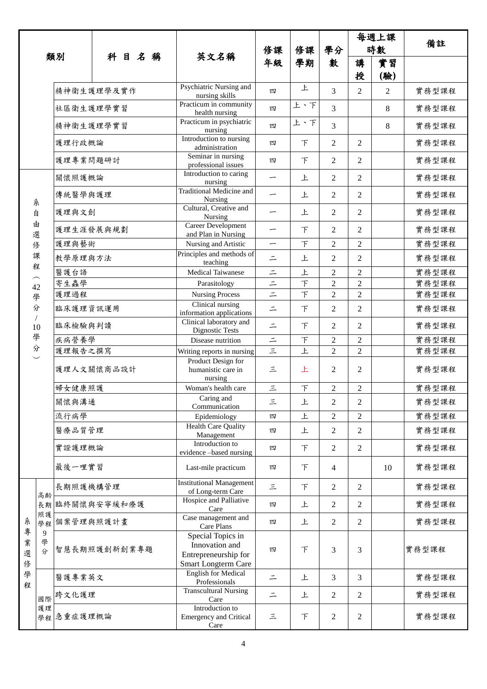| 類別          |                            |               |  |  | 科目名稱                                         |                                                                                    | 修課<br>年級                 | 修課<br>學期       | 學分<br>數        |                | 每週上課           |       |
|-------------|----------------------------|---------------|--|--|----------------------------------------------|------------------------------------------------------------------------------------|--------------------------|----------------|----------------|----------------|----------------|-------|
|             |                            |               |  |  |                                              | 英文名稱                                                                               |                          |                |                | 時數             |                | 備註    |
|             |                            |               |  |  |                                              |                                                                                    |                          |                |                | 講<br>授         | 實習<br>(驗)      |       |
|             |                            | 精神衛生護理學及實作    |  |  |                                              | Psychiatric Nursing and<br>nursing skills                                          | 四                        | 上              | 3              | 2              | $\overline{2}$ | 實務型課程 |
|             |                            | 社區衛生護理學實習     |  |  |                                              | Practicum in community<br>health nursing                                           | 四                        | 上、下            | 3              |                | 8              | 實務型課程 |
|             |                            | 精神衛生護理學實習     |  |  |                                              | Practicum in psychiatric<br>nursing                                                | 四                        | 上、下            | 3              |                | 8              | 實務型課程 |
|             |                            | 護理行政概論        |  |  |                                              | Introduction to nursing<br>administration                                          | 四                        | F              | $\overline{2}$ | $\overline{2}$ |                | 實務型課程 |
|             |                            | 護理專業問題研討      |  |  |                                              | Seminar in nursing<br>professional issues                                          | 四                        | F              | $\overline{2}$ | $\overline{2}$ |                | 實務型課程 |
|             |                            | 關懷照護概論        |  |  |                                              | Introduction to caring<br>nursing                                                  |                          | 上              | 2              | $\overline{2}$ |                | 實務型課程 |
|             | 糸                          | 傳統醫學與護理       |  |  | Traditional Medicine and<br>Nursing          | —                                                                                  | 上                        | $\overline{2}$ | 2              |                | 實務型課程          |       |
|             | 自                          | 護理與文創         |  |  |                                              | Cultural, Creative and<br>Nursing                                                  |                          | 上              | $\overline{2}$ | $\overline{2}$ |                | 實務型課程 |
|             | 由<br>選                     | 護理生涯發展與規劃     |  |  |                                              | Career Development<br>and Plan in Nursing                                          |                          | F              | $\overline{2}$ | $\overline{2}$ |                | 實務型課程 |
|             | 俢                          | 護理與藝術         |  |  |                                              | Nursing and Artistic                                                               | $\overline{\phantom{0}}$ | $\top$         | $\overline{2}$ | $\overline{2}$ |                | 實務型課程 |
|             | 課<br>程                     | 教學原理與方法       |  |  |                                              | Principles and methods of<br>teaching                                              | $\equiv$                 | 上              | 2              | $\overline{2}$ |                | 實務型課程 |
|             |                            | 醫護台語          |  |  |                                              | <b>Medical Taiwanese</b>                                                           | $\equiv$                 | 上              | $\overline{2}$ | $\overline{2}$ |                | 實務型課程 |
|             | 42                         | 寄生蟲學          |  |  |                                              | Parasitology                                                                       | $\equiv$                 | $\bar{T}$      | $\overline{2}$ | $\overline{2}$ |                | 實務型課程 |
|             | 學                          | 護理過程          |  |  |                                              | <b>Nursing Process</b>                                                             | $=$                      | $\top$         | $\overline{2}$ | $\overline{2}$ |                | 實務型課程 |
|             | 分                          | 臨床護理資訊運用      |  |  | Clinical nursing<br>information applications | $\equiv$                                                                           | F                        | $\overline{2}$ | $\overline{2}$ |                | 實務型課程          |       |
|             | 10                         | 臨床檢驗與判讀       |  |  |                                              | Clinical laboratory and<br>Dignostic Tests                                         | $\equiv$                 | F              | 2              | $\overline{2}$ |                | 實務型課程 |
|             | 學                          | 疾病營養學         |  |  |                                              | Disease nutrition                                                                  | $\equiv$                 | F              | $\overline{2}$ | $\overline{2}$ |                | 實務型課程 |
|             | 分                          | 護理報告之撰寫       |  |  |                                              | Writing reports in nursing                                                         | $\equiv$                 | 上              | $\overline{2}$ | $\overline{2}$ |                | 實務型課程 |
|             |                            | 護理人文關懷商品設計    |  |  |                                              | Product Design for<br>humanistic care in<br>nursing                                | 三                        | 上              | $\overline{2}$ | $\overline{2}$ |                | 實務型課程 |
|             |                            | 婦女健康照護        |  |  |                                              | Woman's health care                                                                | $\equiv$                 | $\top$         | $\overline{2}$ | $\overline{2}$ |                | 實務型課程 |
|             |                            | 關懷與溝通         |  |  |                                              | $\overline{C}$ aring and<br>Communication                                          | 三                        | 上              | $\overline{2}$ | $\overline{2}$ |                | 實務型課程 |
|             |                            | 流行病學          |  |  |                                              | Epidemiology                                                                       | 四                        | 上              | $\overline{2}$ | $\mathfrak{2}$ |                | 實務型課程 |
|             |                            | 醫療品質管理        |  |  |                                              | <b>Health Care Quality</b><br>Management                                           | 四                        | 上              | 2              | $\mathfrak{2}$ |                | 實務型課程 |
|             |                            | 實證護理概論        |  |  |                                              | Introduction to<br>evidence-based nursing                                          | 四                        | F              | $\overline{2}$ | $\overline{2}$ |                | 實務型課程 |
|             |                            | 最後一哩實習        |  |  |                                              | Last-mile practicum                                                                | 四                        | F              | 4              |                | 10             | 實務型課程 |
|             | 高齢                         | 長期照護機構管理      |  |  |                                              | <b>Institutional Management</b><br>of Long-term Care                               | 三                        | F              | 2              | $\overline{c}$ |                | 實務型課程 |
|             | 照護                         | 長期臨終關懷與安寧緩和療護 |  |  |                                              | Hospice and Palliative<br>Care                                                     | 四                        | 上              | $\overline{2}$ | $\overline{2}$ |                | 實務型課程 |
| 糸<br>專      | 學程                         | 個案管理與照護計畫     |  |  |                                              | Case management and<br>Care Plans                                                  | 四                        | 上              | $\overline{2}$ | $\mathfrak{2}$ |                | 實務型課程 |
| 業<br>選<br>俢 | $\boldsymbol{9}$<br>學<br>分 | 智慧長期照護創新創業專題  |  |  |                                              | Special Topics in<br>Innovation and<br>Entrepreneurship for<br>Smart Longterm Care | 四                        | F              | 3              | 3              |                | 實務型課程 |
| 學<br>程      |                            | 醫護專業英文        |  |  |                                              | <b>English for Medical</b><br>Professionals                                        | $\equiv$                 | 上              | 3              | 3              |                | 實務型課程 |
|             | 國際                         | 跨文化護理         |  |  |                                              | <b>Transcultural Nursing</b><br>Care                                               | $\equiv$                 | 上              | 2              | $\mathfrak{2}$ |                | 實務型課程 |
|             | 護理                         | 學程念重症護理概論     |  |  |                                              | Introduction to<br><b>Emergency and Critical</b><br>Care                           | $\equiv$                 | 下              | 2              | $\mathfrak{2}$ |                | 實務型課程 |